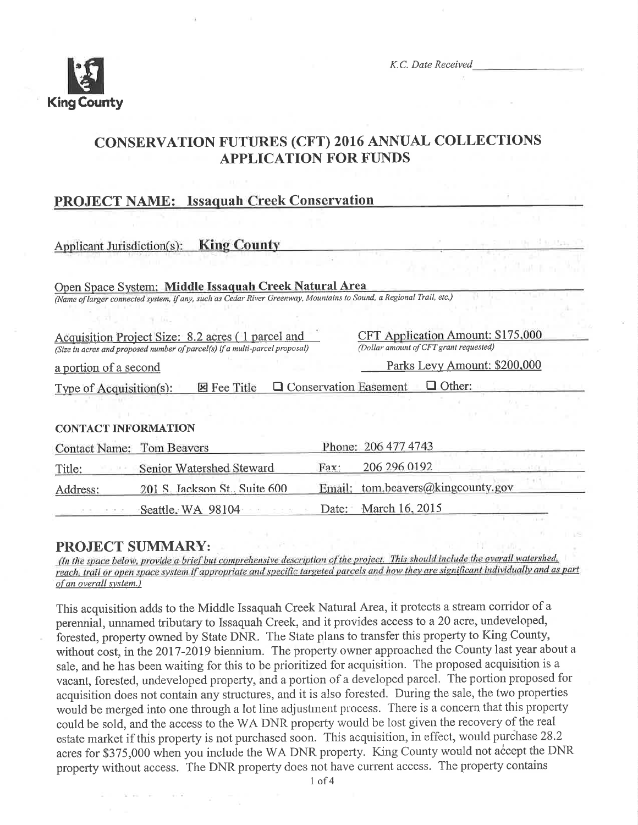

K.C. Date Received

# CONSERVATION FUTURES (CFT) 2016 ANNUAL COLLECTIONS **APPLICATION FOR FUNDS**

# PROJECT NAME: Issaquah Creek Conservation

| <b>King County</b><br>Applicant Jurisdiction(s):                                                                                 | 01 3 E. Bay 17                                                              |
|----------------------------------------------------------------------------------------------------------------------------------|-----------------------------------------------------------------------------|
|                                                                                                                                  |                                                                             |
| Open Space System: Middle Issaquah Creek Natural Area                                                                            |                                                                             |
| (Name of larger connected system, if any, such as Cedar River Greenway, Mountains to Sound, a Regional Trail, etc.)              |                                                                             |
|                                                                                                                                  |                                                                             |
| Acquisition Project Size: 8.2 acres (1 parcel and<br>(Size in acres and proposed number of parcel(s) if a multi-parcel proposal) | CFT Application Amount: \$175,000<br>(Dollar amount of CFT grant requested) |
| a portion of a second                                                                                                            | Parks Levy Amount: \$200,000                                                |
| <b>区 Fee Title</b><br>Type of Acquisition(s):                                                                                    | Q Conservation Easement<br>Other:                                           |
|                                                                                                                                  |                                                                             |
| <b>CONTACT INFORMATION</b>                                                                                                       |                                                                             |
| <b>Tom Beavers</b><br><b>Contact Name:</b>                                                                                       | Phone: 206 477 4743                                                         |
| Senior Watershed Steward<br>Title:                                                                                               | 206 296 0192<br>Fax:                                                        |
| 201 S. Jackson St., Suite 600<br>Address:                                                                                        | tom.beavers@kingcounty.gov<br>Email:                                        |

**PROJECT SUMMARY:**<br>(In the space below, provide a brief but comprehensive description of the project. This should include the overall watershed, reach, trail or open space system if appropriate and specific targeted parcels and how they are significant individually and as part of an overall system.)

Seattle. WA 98104 Date: March 16, 2015

This acquisition adds to the Middle Issaquah Creek Natural Area, it protects a stream corridor of <sup>a</sup> perennial, unnamed tributary to Issaquah Creek, and it provides access to a20 acre, undeveloped, forested, property owned by State DNR. The State plans to transfer this property to King County, without cost, in the 2017-2019 biennium. The property owner approached the County last year about a sale, and he has been waiting for this to be prioritized for acquisition. The proposed acquisition is <sup>a</sup> vacant, forested, undeveloped property, and a portion of a developed parcel. The portion proposed for acquisition does not contain any structures, and it is also forested. During the sale, the two properties would be merged into one through a lot line adjustment process. There is a concern that this property could be sold, and the access to the WA DNR property would be lost given the recovery of the real estate market if this property is not purchased soon. This acquisition, in effect, would purchase 28.2 acres for \$375,000 when you include the WA DNR property. King County would not accept the DNR property without access. The DNR property does not have current access. The property contains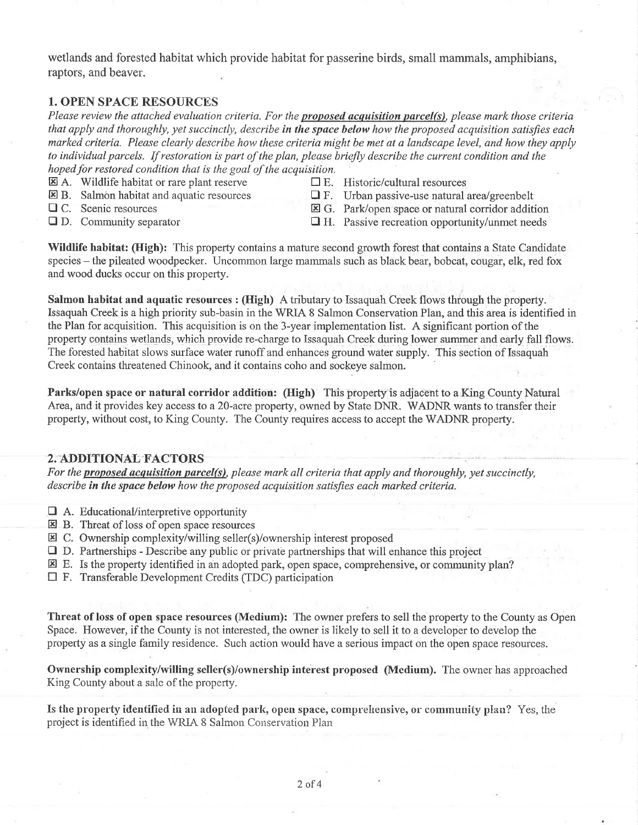wetlands and forested habitat which provide habitat for passerine birds, small mammals, amphibians, raptors, and beaver.

## 1. OPEN SPACE RESOURCES

Please review the attached evaluation criteria. For the proposed acquisition parcel(s), please mark those criteria that apply and thoroughly, yet succinctly, describe in the space below how the proposed acquisition satisfies each marked criteria. Please clearly describe how these criteria might be met at a landscape level, and how they apply to individual parcels. If restoration is part of the plan, please briefly describe the current condition and the hoped for restored condition that is the goal of the acquisition.

- **E.** A. Wildlife habitat or rare plant reserve  $\Box$  E. Historic/cultural resources **N** B. Salmon habitat and aquatic resources  $\Box$  F. Urban passive-use natural is
- 
- 
- **EDU** B. Salmon habitat and aquatic resources  $\Box$  F. Urban passive-use natural area/greenbelt  $\Box$  C. Scenic resources **ED** G. Park/open space or natural corridor additional
	-
- 
- $\Box$  C. Scenic resources  $\Box$  G. Park/open space or natural corridor addition  $\Box$  D. Community separator  $\Box$  H. Passive recreation opportunity/unmet needs  $\Box$  H. Passive recreation opportunity/unmet needs

Wildlife habitat: (High): This property contains a mature second growth forest that contains a State Candidate species – the pileated woodpecker. Uncommon large mammals such as black bear, bobcat, cougar, elk, red fox and wood ducks occur on this property.

Salmon habitat and aquatic resources : (High) A tributary to Issaquah Creek flows through the property. Issaquah Creek is a high priority sub-basin in the WRIA 8 Salmon Conservation Plan, and this area is identified in the Plan for acquisition. This acquisition is on the 3-year implementation list. A significant portion of the property contains wetlands, which provide re-eharge to Issaquah Creck during lower summer and early fall flows. The forested habitat slows surface water runoff and enhances ground water supply. This section of Issaquah Creek contains threatened Chinook, and it contains coho and sockeye salmon.

Parks/open space or natural corridor addition: (High) This property is adjacent to a King County Natural Area, and it provides key access to a 20-acre property, owned by State DNR. WADNR wants to transfer their property, without cost, to King County. The County requires access to accept the WADNR property.

# 2. ADDITIONAL FACTORS

For the proposed acquisition parcel(s), please mark all criteria that apply and thoroughly, yet succinctly, describe in the space below how the proposed acquisition satisfies each marked criteria.

- $\Box$  A. Educational/interpretive opportunity
- E B. Threat of loss of open space resources
- $\Xi$  C. Ownership complexity/willing seller(s)/ownership interest proposed
- $\Box$  D. Partnerships Describe any public or private partnerships that will enhance this project
- $\mathbb E$  E. Is the property identified in an adopted park, open space, comprehensive, or community plan?
- $\Box$  F. Transferable Development Credits (TDC) participation

Threat of loss of open space resources (Medium): The owner prefers to sell the property to the County as Open Space. However, if the County is not interested, the owner is likely to sell it to a developer to develop the property as a single family residence. Such action would have a serious impact on the open space resources.

Ownership complexity/willing seller(s)/ownership interest proposed (Medium). The owner has approached King County about a sale of the property.

Is the property identified in an adopted park, open space, comprehensive, or community plan? Yes, the project is identified in the WRIA 8 Salmon Conservation Plan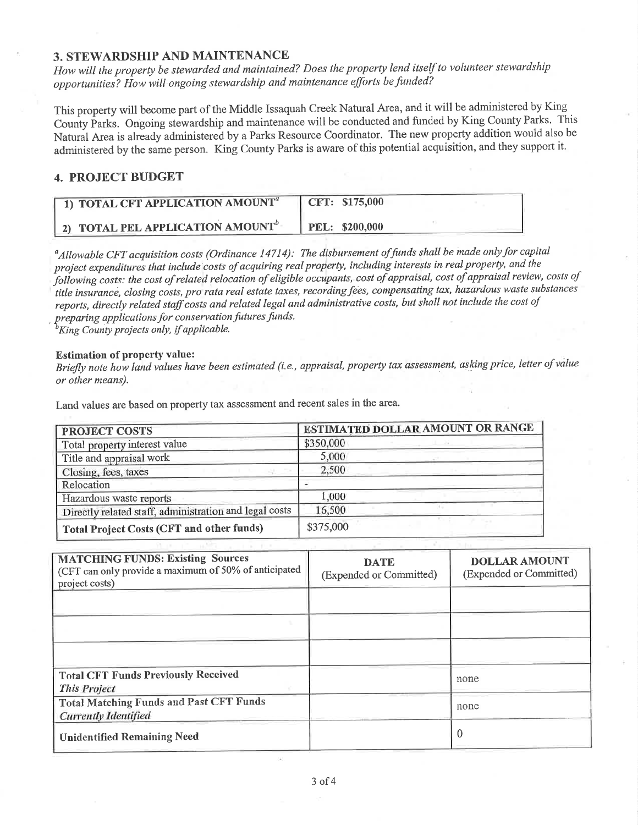### **3. STEWARDSHIP AND MAINTENANCE**

How will the property be stewarded and maintained? Does the property lend itself to volunteer stewardship opportunities? How will ongoing stewardship and maintenance efforts be funded?

This property will become part of the Middle Issaquah Creek Natural Area, and it will be administered by King County Parks. Ongoing stewardship and maintenance will be conducted and funded by King County Parks. This Natural Area is already administered by a Parks Resource Coordinator. The new property addition would also be administered by the same person. King County Parks is aware of this potential acquisition, and they support it.

## **4. PROJECT BUDGET**

| 1) TOTAL CFT APPLICATION AMOUNT <sup>a</sup> | CFT: \$175,000        |
|----------------------------------------------|-----------------------|
| 2) TOTAL PEL APPLICATION AMOUNT              | <b>PEL: \$200,000</b> |

<sup>a</sup> Allowable CFT acquisition costs (Ordinance 14714): The disbursement of funds shall be made only for capital project expenditures that include costs of acquiring real property, including interests in real property, and the following costs: the cost of related relocation of eligible occupants, cost of appraisal, cost of appraisal review, costs of title insurance, closing costs, pro rata real estate taxes, recording fees, compensating tax, hazardous waste substances reports, directly related staff costs and related legal and administrative costs, but shall not include the cost of preparing applications for conservation futures funds.

King County projects only, if applicable.

#### **Estimation of property value:**

Briefly note how land values have been estimated (i.e., appraisal, property tax assessment, asking price, letter of value or other means).

Land values are based on property tax assessment and recent sales in the area.

| <b>PROJECT COSTS</b>                                   | ESTIMATED DOLLAR AMOUNT OR RANGE |
|--------------------------------------------------------|----------------------------------|
| Total property interest value                          | \$350,000                        |
| Title and appraisal work                               | 5,000                            |
| Closing, fees, taxes                                   | 2,500                            |
| Relocation                                             |                                  |
| Hazardous waste reports                                | 1,000                            |
| Directly related staff, administration and legal costs | 16,500                           |
| <b>Total Project Costs (CFT and other funds)</b>       | \$375,000                        |

| <b>MATCHING FUNDS: Existing Sources</b><br>(CFT can only provide a maximum of 50% of anticipated<br>project costs) | <b>DATE</b><br>(Expended or Committed) | <b>DOLLAR AMOUNT</b><br>(Expended or Committed) |
|--------------------------------------------------------------------------------------------------------------------|----------------------------------------|-------------------------------------------------|
|                                                                                                                    |                                        |                                                 |
|                                                                                                                    |                                        |                                                 |
|                                                                                                                    |                                        |                                                 |
| <b>Total CFT Funds Previously Received</b><br><b>This Project</b>                                                  |                                        | none                                            |
| <b>Total Matching Funds and Past CFT Funds</b><br><b>Currently Identified</b>                                      |                                        | none                                            |
| <b>Unidentified Remaining Need</b>                                                                                 |                                        | $\theta$                                        |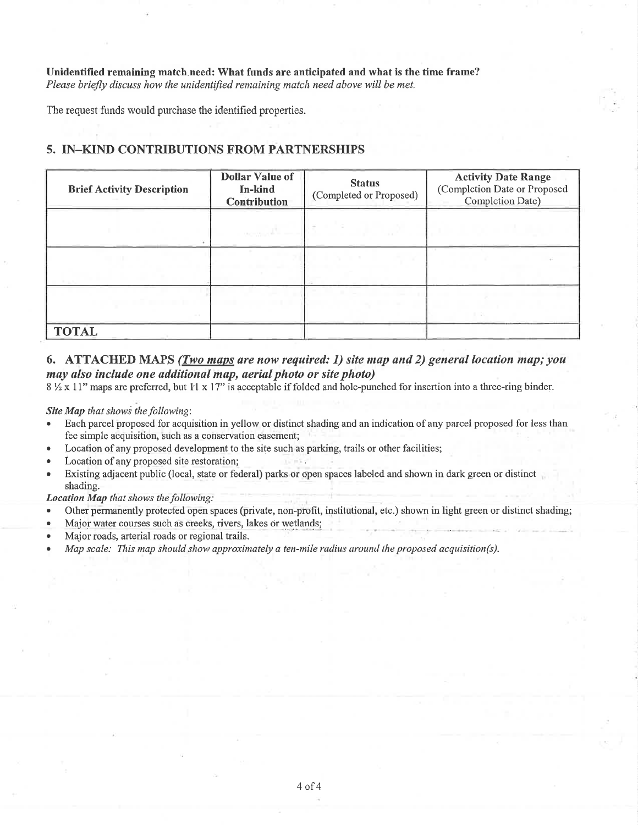Unidentified remaining match.need: What funds are anticipated and what is the time frame? Please briefly discuss how the unidentified remaining match need above will be met.

The request funds would purchase the identified properties.

# 5. IN\_KIND CONTRIBUTIONS FROM PARTNERSHIPS

| <b>Brief Activity Description</b> | <b>Dollar Value of</b><br>In-kind<br><b>Contribution</b> | <b>Status</b><br>(Completed or Proposed) | <b>Activity Date Range</b><br>(Completion Date or Proposed<br>Completion Date) |
|-----------------------------------|----------------------------------------------------------|------------------------------------------|--------------------------------------------------------------------------------|
|                                   |                                                          |                                          |                                                                                |
|                                   |                                                          |                                          |                                                                                |
|                                   |                                                          |                                          |                                                                                |
|                                   |                                                          |                                          |                                                                                |
| $\sim$ 10                         |                                                          |                                          |                                                                                |
| <b>TOTAL</b>                      |                                                          |                                          |                                                                                |

# 6. ATTACHED MAPS (Two maps are now required: 1) site map and 2) general location map; you may also include one additional map, aerial photo or site photo)

 $8\frac{1}{2}$  x 11" maps are preferred, but 1'l x 17" is acceptable if folded and hole-punched for insertion into a three-ring binder.

#### Site Map that shows the following:

- . Each parcel proposed for acquisition in yellow or distinct shading and an indication ofany parcel proposed for less than fee simple acquisition, such as a conservation easement;
- Location of any proposed development to the site such as parking, trails or other facilities;
- Location of any proposed site restoration;
- Existing adjacent public (local, state or federal) parks or open spaces labeled and shown in dark green or distinct shading.

Location Map that shows the following:

- . Other permanently protected open spaces (private, non-profit, institutional, etc.) shown in light green or distinct shading;
- Major water courses such as creeks, rivers, lakes or wetlands;
- Major roads, arterial roads or regional trails.
- Map scale: This map should show approximately a ten-mile radius around the proposed acquisition(s).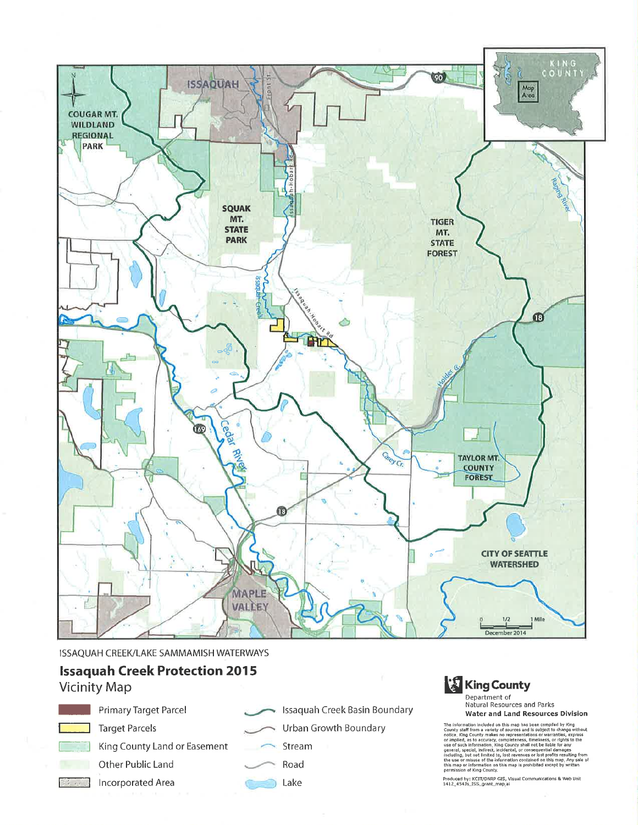

Issaquah Creek Basin Boundary

**Urban Growth Boundary** 

Stream

ISSAQUAH CREEK/LAKE SAMMAMISH WATERWAYS

# **Issaquah Creek Protection 2015**

# **Vicinity Map**



**Target Parcels** 

King County Land or Easement

Primary Target Parcel

- Other Public Land
- Incorporated Area
- Road Lake

# **King County** Department of

**Natural Resources and Parks Water and Land Resources Division** 

The information included on this map has been compiled by King<br>county staff from a variety of sources and is subject to change without<br>concide. King County makes no representations or varianties, express<br>contributed, as to

Produced by: KCIT/DNRP GIS, Visual Communications & Web Unit<br>1412\_4543s\_ISS\_grant\_map<sub>l</sub>ai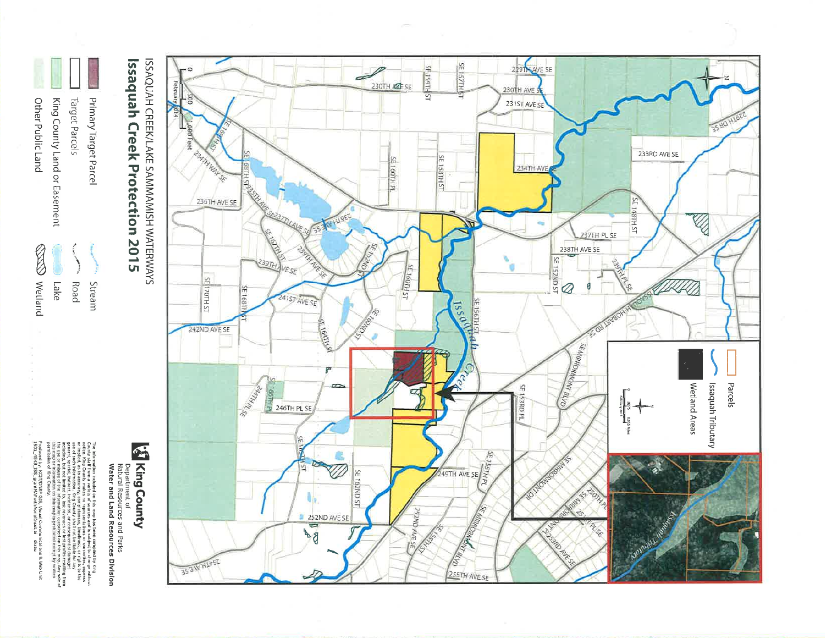

The information included on this map has been complied by King<br>order. King County makes no representations or warmonics, copress<br>order in the form of the procedure of the process of the state of the state of the state of

S King County Department of<br>Natural Resources and Parks<br>**Water and Land Resources Division** 

Issaquah Creek Protection 2015 ISSAQUAH CREEK/LAKE SAMMAMISH WATERWAYS

Primary Target Parcel

Stream